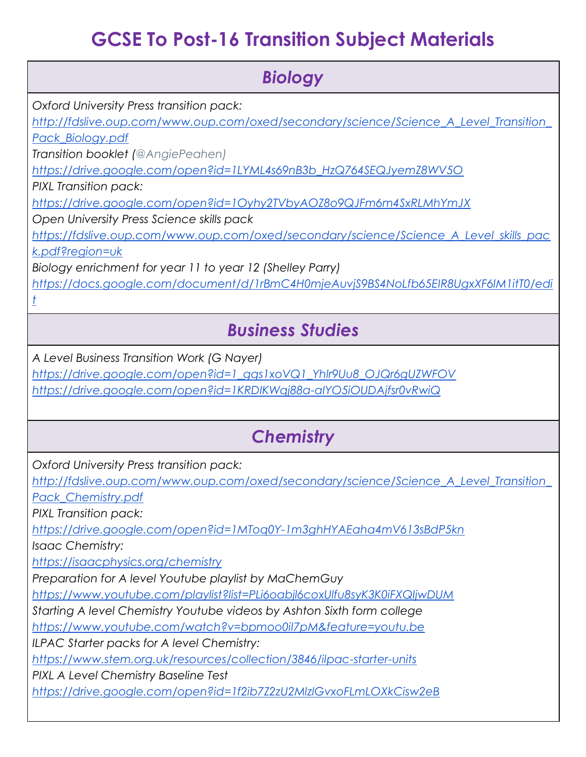# **GCSE To Post-16 Transition Subject Materials**

| <b>Biology</b>                                                                        |
|---------------------------------------------------------------------------------------|
| Oxford University Press transition pack:                                              |
| http://fdslive.oup.com/www.oup.com/oxed/secondary/science/Science_A_Level_Transition_ |
| Pack Biology.pdf                                                                      |
| Transition booklet (@AngiePeahen)                                                     |
| https://drive.google.com/open?id=1LYML4s69nB3b_HzQ764SEQJyemZ8WV5O                    |
| PIXL Transition pack:                                                                 |
| https://drive.google.com/open?id=1Oyhy2TVbyAOZ8o9QJFm6m4SxRLMhYmJX                    |
| Open University Press Science skills pack                                             |
| https://fdslive.oup.com/www.oup.com/oxed/secondary/science/Science A Level skills pac |
| k.pdf?region=uk                                                                       |
| Biology enrichment for year 11 to year 12 (Shelley Parry)                             |
| https://docs.google.com/document/d/1rBmC4H0mjeAuvjS9BS4NoLfb65ElR8UgxXF6IM1itT0/edi   |
|                                                                                       |
| <b>Business Studies</b>                                                               |
| A Level Business Transition Work (G Nayer)                                            |
| https://drive.google.com/open?id=1_gqs1xoVQ1_Yhlr9Uu8_OJQr6gUZWFOV                    |
| https://drive.google.com/open?id=1KRDIKWqj88a-alYO5iOUDAjfsr0vRwiQ                    |
|                                                                                       |
| <b>Chemistry</b>                                                                      |
| Oxford University Press transition pack:                                              |
| http://fdslive.oup.com/www.oup.com/oxed/secondary/science/Science_A_Level_Transition_ |
| Pack_Chemistry.pdf                                                                    |
| PIXL Transition pack:                                                                 |
| https://drive.google.com/open?id=1MToq0Y-1m3ghHYAEaha4mV613sBdP5kn                    |
| <b>Isaac Chemistry:</b>                                                               |

*<https://isaacphysics.org/chemistry>*

*Preparation for A level Youtube playlist by MaChemGuy*

*<https://www.youtube.com/playlist?list=PLi6oabjl6coxUlfu8syK3K0iFXQIjwDUM>*

*Starting A level Chemistry Youtube videos by Ashton Sixth form college*

*<https://www.youtube.com/watch?v=bpmoo0iI7pM&feature=youtu.be>*

*ILPAC Starter packs for A level Chemistry:*

*<https://www.stem.org.uk/resources/collection/3846/ilpac-starter-units>*

*PIXL A Level Chemistry Baseline Test*

*<https://drive.google.com/open?id=1f2ib7Z2zU2MlzlGvxoFLmLOXkCisw2eB>*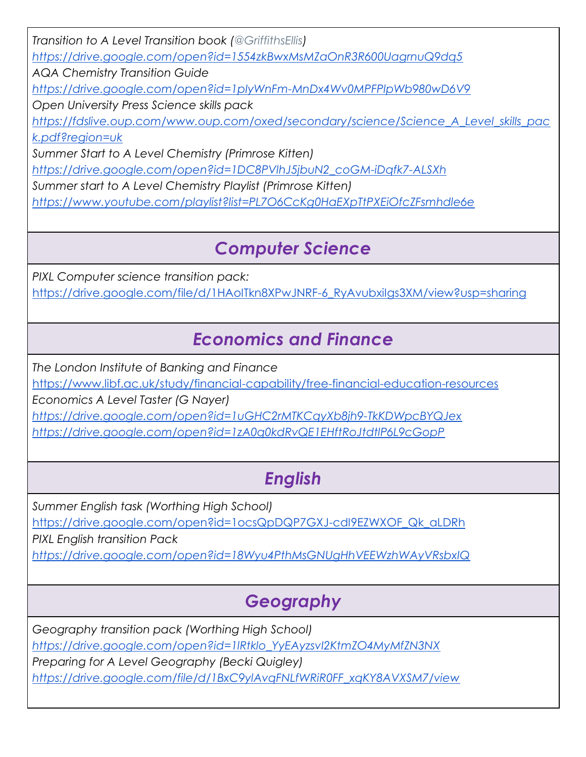*Transition to A Level Transition book [\(@GriffithsEllis\)](https://twitter.com/GriffithsEllis) <https://drive.google.com/open?id=1554zkBwxMsMZaOnR3R600UagrnuQ9dq5> AQA Chemistry Transition Guide <https://drive.google.com/open?id=1pIyWnFm-MnDx4Wv0MPFPlpWb980wD6V9> Open University Press Science skills pack [https://fdslive.oup.com/www.oup.com/oxed/secondary/science/Science\\_A\\_Level\\_skills\\_pac](https://fdslive.oup.com/www.oup.com/oxed/secondary/science/Science_A_Level_skills_pack.pdf?region=uk) [k.pdf?region=uk](https://fdslive.oup.com/www.oup.com/oxed/secondary/science/Science_A_Level_skills_pack.pdf?region=uk) Summer Start to A Level Chemistry (Primrose Kitten) [https://drive.google.com/open?id=1DC8PVlhJ5jbuN2\\_coGM-iDqfk7-ALSXh](https://drive.google.com/open?id=1DC8PVlhJ5jbuN2_coGM-iDqfk7-ALSXh) Summer start to A Level Chemistry Playlist (Primrose Kitten)*

*<https://www.youtube.com/playlist?list=PL7O6CcKg0HaEXpTtPXEiOfcZFsmhdle6e>*

# *Computer Science*

*PIXL Computer science transition pack:*

https://drive.google.com/file/d/1HAoITkn8XPwJNRF-6\_RyAvubxilgs3XM/view?usp=sharing

## *Economics and Finance*

*The London Institute of Banking and Finance*

<https://www.libf.ac.uk/study/financial-capability/free-financial-education-resources>

*Economics A Level Taster (G Nayer)*

*<https://drive.google.com/open?id=1uGHC2rMTKCqyXb8jh9-TkKDWpcBYQJex>*

*<https://drive.google.com/open?id=1zA0q0kdRvQE1EHftRoJtdtlP6L9cGopP>*

# *English*

*Summer English task (Worthing High School)* [https://drive.google.com/open?id=1ocsQpDQP7GXJ-cdI9EZWXOF\\_Qk\\_aLDRh](https://drive.google.com/open?id=1ocsQpDQP7GXJ-cdI9EZWXOF_Qk_aLDRh) *PIXL English transition Pack <https://drive.google.com/open?id=18Wyu4PthMsGNUgHhVEEWzhWAyVRsbxIQ>*

# *Geography*

*Geography transition pack (Worthing High School) [https://drive.google.com/open?id=1lRtklo\\_YyEAyzsvI2KtmZO4MyMfZN3NX](https://drive.google.com/open?id=1lRtklo_YyEAyzsvI2KtmZO4MyMfZN3NX) Preparing for A Level Geography (Becki Quigley) [https://drive.google.com/file/d/1BxC9ylAvqFNLfWRiR0FF\\_xqKY8AVXSM7/view](https://drive.google.com/file/d/1BxC9ylAvqFNLfWRiR0FF_xqKY8AVXSM7/view)*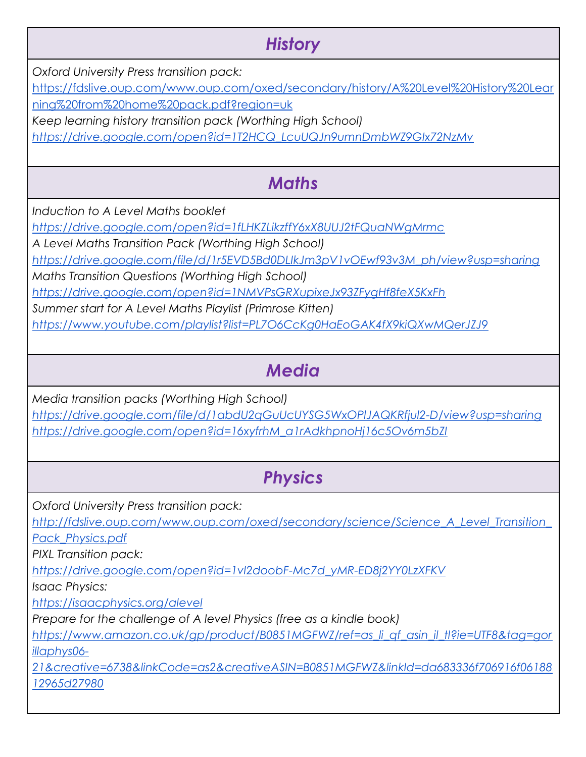### *History*

*Oxford University Press transition pack:*

[https://fdslive.oup.com/www.oup.com/oxed/secondary/history/A%20Level%20History%20Lear](https://fdslive.oup.com/www.oup.com/oxed/secondary/history/A%20Level%20History%20Learning%20from%20home%20pack.pdf?region=uk) [ning%20from%20home%20pack.pdf?region=uk](https://fdslive.oup.com/www.oup.com/oxed/secondary/history/A%20Level%20History%20Learning%20from%20home%20pack.pdf?region=uk)

*Keep learning history transition pack (Worthing High School)*

*[https://drive.google.com/open?id=1T2HCQ\\_LcuUQJn9umnDmbWZ9GIx72NzMv](https://drive.google.com/open?id=1T2HCQ_LcuUQJn9umnDmbWZ9GIx72NzMv)*

## *Maths*

*Induction to A Level Maths booklet*

*<https://drive.google.com/open?id=1fLHKZLikzffY6xX8UUJ2tFQuaNWgMrmc>*

*A Level Maths Transition Pack (Worthing High School)*

*[https://drive.google.com/file/d/1r5EVD5Bd0DLIkJm3pV1vOEwf93v3M\\_ph/view?usp=sharing](https://drive.google.com/file/d/1r5EVD5Bd0DLIkJm3pV1vOEwf93v3M_ph/view?usp=sharing)*

*Maths Transition Questions (Worthing High School)*

*<https://drive.google.com/open?id=1NMVPsGRXupixeJx93ZFygHf8feX5KxFh>*

*Summer start for A Level Maths Playlist (Primrose Kitten)*

*<https://www.youtube.com/playlist?list=PL7O6CcKg0HaEoGAK4fX9kiQXwMQerJZJ9>*

## *Media*

*Media transition packs (Worthing High School)*

*<https://drive.google.com/file/d/1abdU2qGuUcUYSG5WxOPlJAQKRfjul2-D/view?usp=sharing> [https://drive.google.com/open?id=16xyfrhM\\_a1rAdkhpnoHj16c5Ov6m5bZI](https://drive.google.com/open?id=16xyfrhM_a1rAdkhpnoHj16c5Ov6m5bZI)*

### *Physics*

*Oxford University Press transition pack:*

*[http://fdslive.oup.com/www.oup.com/oxed/secondary/science/Science\\_A\\_Level\\_Transition\\_](http://fdslive.oup.com/www.oup.com/oxed/secondary/science/Science_A_Level_Transition_Pack_Physics.pdf) [Pack\\_Physics.pdf](http://fdslive.oup.com/www.oup.com/oxed/secondary/science/Science_A_Level_Transition_Pack_Physics.pdf)*

*PIXL Transition pack:*

*[https://drive.google.com/open?id=1vI2doobF-Mc7d\\_yMR-ED8j2YY0LzXFKV](https://drive.google.com/open?id=1vI2doobF-Mc7d_yMR-ED8j2YY0LzXFKV)*

*Isaac Physics:*

*<https://isaacphysics.org/alevel>*

*Prepare for the challenge of A level Physics (free as a kindle book)*

*[https://www.amazon.co.uk/gp/product/B0851MGFWZ/ref=as\\_li\\_qf\\_asin\\_il\\_tl?ie=UTF8&tag=gor](https://www.amazon.co.uk/gp/product/B0851MGFWZ/ref=as_li_qf_asin_il_tl?ie=UTF8&tag=gorillaphys06-21&creative=6738&linkCode=as2&creativeASIN=B0851MGFWZ&linkId=da683336f706916f0618812965d27980) [illaphys06-](https://www.amazon.co.uk/gp/product/B0851MGFWZ/ref=as_li_qf_asin_il_tl?ie=UTF8&tag=gorillaphys06-21&creative=6738&linkCode=as2&creativeASIN=B0851MGFWZ&linkId=da683336f706916f0618812965d27980)*

*[21&creative=6738&linkCode=as2&creativeASIN=B0851MGFWZ&linkId=da683336f706916f06188](https://www.amazon.co.uk/gp/product/B0851MGFWZ/ref=as_li_qf_asin_il_tl?ie=UTF8&tag=gorillaphys06-21&creative=6738&linkCode=as2&creativeASIN=B0851MGFWZ&linkId=da683336f706916f0618812965d27980) [12965d27980](https://www.amazon.co.uk/gp/product/B0851MGFWZ/ref=as_li_qf_asin_il_tl?ie=UTF8&tag=gorillaphys06-21&creative=6738&linkCode=as2&creativeASIN=B0851MGFWZ&linkId=da683336f706916f0618812965d27980)*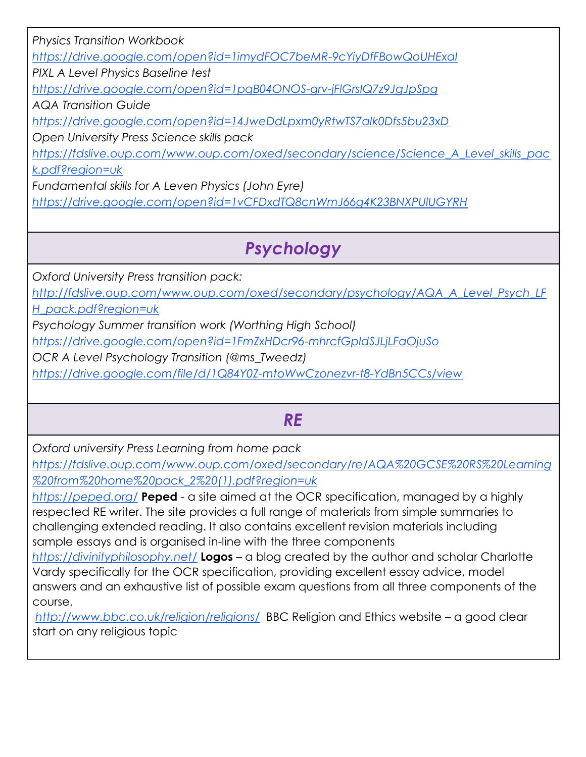*Physics Transition Workbook*

*<https://drive.google.com/open?id=1imydFOC7beMR-9cYiyDfFBowQoUHExaI>*

*PIXL A Level Physics Baseline test*

*<https://drive.google.com/open?id=1pqB04ONOS-grv-jFlGrsIQ7z9JgJpSpg>*

*AQA Transition Guide*

*<https://drive.google.com/open?id=14JweDdLpxm0yRtwTS7aIk0Dfs5bu23xD>*

*Open University Press Science skills pack*

*[https://fdslive.oup.com/www.oup.com/oxed/secondary/science/Science\\_A\\_Level\\_skills\\_pac](https://fdslive.oup.com/www.oup.com/oxed/secondary/science/Science_A_Level_skills_pack.pdf?region=uk)*

*[k.pdf?region=uk](https://fdslive.oup.com/www.oup.com/oxed/secondary/science/Science_A_Level_skills_pack.pdf?region=uk)*

*Fundamental skills for A Leven Physics (John Eyre)*

*<https://drive.google.com/open?id=1vCFDxdTQ8cnWmJ66g4K23BNXPUlUGYRH>*

## *Psychology*

*Oxford University Press transition pack:*

*[http://fdslive.oup.com/www.oup.com/oxed/secondary/psychology/AQA\\_A\\_Level\\_Psych\\_LF](http://fdslive.oup.com/www.oup.com/oxed/secondary/psychology/AQA_A_Level_Psych_LFH_pack.pdf?region=uk)*

*[H\\_pack.pdf?region=uk](http://fdslive.oup.com/www.oup.com/oxed/secondary/psychology/AQA_A_Level_Psych_LFH_pack.pdf?region=uk)*

*Psychology Summer transition work (Worthing High School)*

*<https://drive.google.com/open?id=1FmZxHDcr96-mhrcfGpIdSJLjLFaOjuSo>*

*OCR A Level Psychology Transition (@ms\_Tweedz)*

*<https://drive.google.com/file/d/1Q84Y0Z-mtoWwCzonezvr-t8-YdBn5CCs/view>*

#### *RE*

*Oxford university Press Learning from home pack*

*[https://fdslive.oup.com/www.oup.com/oxed/secondary/re/AQA%20GCSE%20RS%20Learning](https://fdslive.oup.com/www.oup.com/oxed/secondary/re/AQA%20GCSE%20RS%20Learning%20from%20home%20pack_2%20(1).pdf?region=uk) [%20from%20home%20pack\\_2%20\(1\).pdf?region=uk](https://fdslive.oup.com/www.oup.com/oxed/secondary/re/AQA%20GCSE%20RS%20Learning%20from%20home%20pack_2%20(1).pdf?region=uk)*

*<https://peped.org/>* **Peped** - a site aimed at the OCR specification, managed by a highly respected RE writer. The site provides a full range of materials from simple summaries to challenging extended reading. It also contains excellent revision materials including sample essays and is organised in-line with the three components

*<https://divinityphilosophy.net/>* **Logos** – a blog created by the author and scholar Charlotte Vardy specifically for the OCR specification, providing excellent essay advice, model answers and an exhaustive list of possible exam questions from all three components of the course.

*<http://www.bbc.co.uk/religion/religions/>* BBC Religion and Ethics website – a good clear start on any religious topic